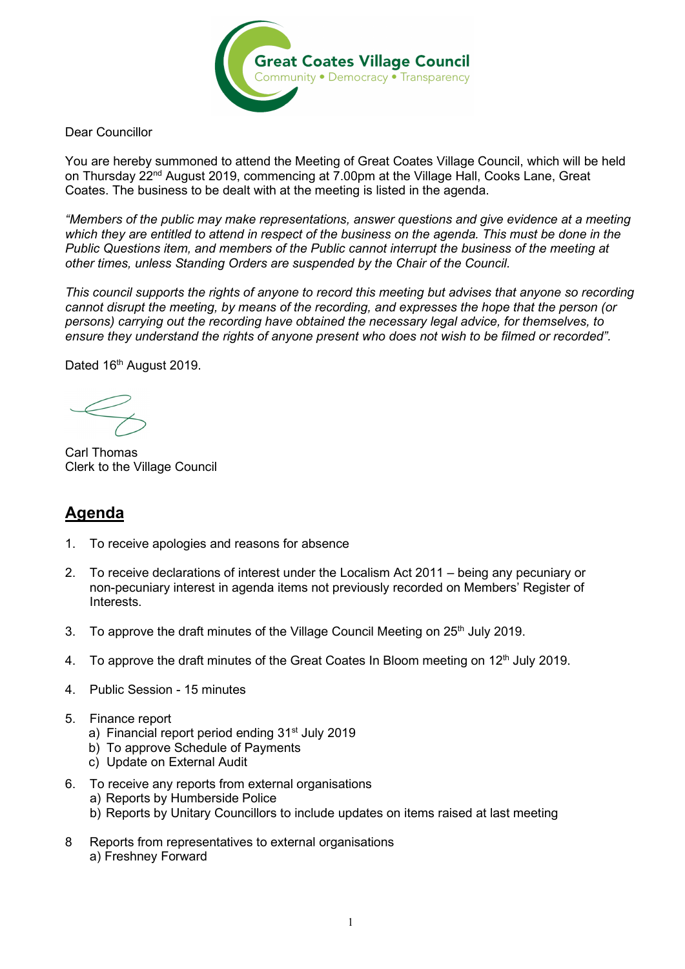

Dear Councillor

You are hereby summoned to attend the Meeting of Great Coates Village Council, which will be held on Thursday 22nd August 2019, commencing at 7.00pm at the Village Hall, Cooks Lane, Great Coates. The business to be dealt with at the meeting is listed in the agenda.

*"Members of the public may make representations, answer questions and give evidence at a meeting which they are entitled to attend in respect of the business on the agenda. This must be done in the Public Questions item, and members of the Public cannot interrupt the business of the meeting at other times, unless Standing Orders are suspended by the Chair of the Council.* 

*This council supports the rights of anyone to record this meeting but advises that anyone so recording cannot disrupt the meeting, by means of the recording, and expresses the hope that the person (or persons) carrying out the recording have obtained the necessary legal advice, for themselves, to ensure they understand the rights of anyone present who does not wish to be filmed or recorded".*

Dated 16<sup>th</sup> August 2019.

Carl Thomas Clerk to the Village Council

## **Agenda**

- 1. To receive apologies and reasons for absence
- 2. To receive declarations of interest under the Localism Act 2011 being any pecuniary or non-pecuniary interest in agenda items not previously recorded on Members' Register of Interests.
- 3. To approve the draft minutes of the Village Council Meeting on  $25<sup>th</sup>$  July 2019.
- 4. To approve the draft minutes of the Great Coates In Bloom meeting on  $12<sup>th</sup>$  July 2019.
- 4. Public Session 15 minutes
- 5. Finance report
	- a) Financial report period ending 31<sup>st</sup> July 2019
	- b) To approve Schedule of Payments
	- c) Update on External Audit
- 6. To receive any reports from external organisations
	- a) Reports by Humberside Police
		- b) Reports by Unitary Councillors to include updates on items raised at last meeting
- 8 Reports from representatives to external organisations a) Freshney Forward